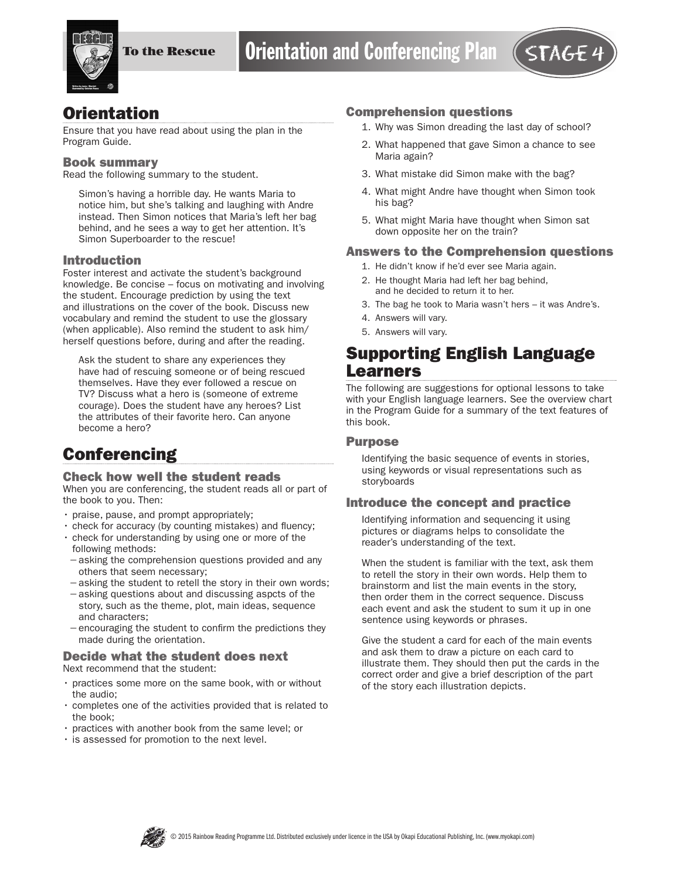

## **Orientation**

Ensure that you have read about using the plan in the Program Guide.

#### Book summary

Read the following summary to the student.

Simon's having a horrible day. He wants Maria to notice him, but she's talking and laughing with Andre instead. Then Simon notices that Maria's left her bag behind, and he sees a way to get her attention. It's Simon Superboarder to the rescue!

#### Introduction

Foster interest and activate the student's background knowledge. Be concise – focus on motivating and involving the student. Encourage prediction by using the text and illustrations on the cover of the book. Discuss new vocabulary and remind the student to use the glossary (when applicable). Also remind the student to ask him/ herself questions before, during and after the reading.

Ask the student to share any experiences they have had of rescuing someone or of being rescued themselves. Have they ever followed a rescue on TV? Discuss what a hero is (someone of extreme courage). Does the student have any heroes? List the attributes of their favorite hero. Can anyone become a hero?

# **Conferencing**

#### Check how well the student reads

When you are conferencing, the student reads all or part of the book to you. Then:

- praise, pause, and prompt appropriately;
- check for accuracy (by counting mistakes) and fluency;
- check for understanding by using one or more of the following methods:
- −asking the comprehension questions provided and any others that seem necessary;
- −asking the student to retell the story in their own words; −asking questions about and discussing aspcts of the
- story, such as the theme, plot, main ideas, sequence and characters;
- −encouraging the student to confirm the predictions they made during the orientation.

#### Decide what the student does next Next recommend that the student:

- practices some more on the same book, with or without the audio;
- completes one of the activities provided that is related to the book;
- practices with another book from the same level; or
- is assessed for promotion to the next level.

#### Comprehension questions

- 1. Why was Simon dreading the last day of school?
- 2. What happened that gave Simon a chance to see Maria again?
- 3. What mistake did Simon make with the bag?
- 4. What might Andre have thought when Simon took his bag?
- 5. What might Maria have thought when Simon sat down opposite her on the train?

#### Answers to the Comprehension questions

- 1. He didn't know if he'd ever see Maria again.
- 2. He thought Maria had left her bag behind, and he decided to return it to her.
- 3. The bag he took to Maria wasn't hers it was Andre's.
- 4. Answers will vary.
- 5. Answers will vary.

## Supporting English Language Learners

The following are suggestions for optional lessons to take with your English language learners. See the overview chart in the Program Guide for a summary of the text features of this book.

#### **Purpose**

Identifying the basic sequence of events in stories, using keywords or visual representations such as storyboards

#### Introduce the concept and practice

Identifying information and sequencing it using pictures or diagrams helps to consolidate the reader's understanding of the text.

When the student is familiar with the text, ask them to retell the story in their own words. Help them to brainstorm and list the main events in the story, then order them in the correct sequence. Discuss each event and ask the student to sum it up in one sentence using keywords or phrases.

Give the student a card for each of the main events and ask them to draw a picture on each card to illustrate them. They should then put the cards in the correct order and give a brief description of the part of the story each illustration depicts.

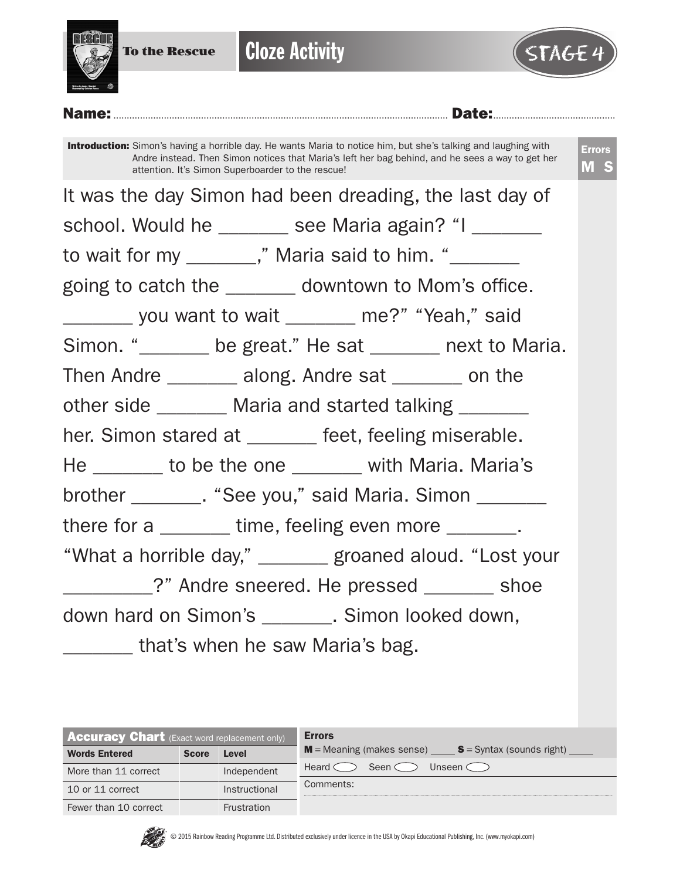

**Cloze Activity** 



Name:.............................................................................................................................. Date:..............................................

Introduction: Simon's having a horrible day. He wants Maria to notice him, but she's talking and laughing with Andre instead. Then Simon notices that Maria's left her bag behind, and he sees a way to get her attention. It's Simon Superboarder to the rescue!

Errors M S

It was the day Simon had been dreading, the last day of school. Would he \_\_\_\_\_\_\_ see Maria again? "I \_\_\_\_\_\_ to wait for my \_\_\_\_\_\_," Maria said to him. "\_\_\_\_\_\_\_ going to catch the \_\_\_\_\_\_\_ downtown to Mom's office. \_\_\_\_\_\_\_ you want to wait \_\_\_\_\_\_\_ me?" "Yeah," said Simon. "
<u>
sate "contracted"</u> be great." He sat 
state state to Maria. Then Andre \_\_\_\_\_\_\_ along. Andre sat \_\_\_\_\_\_ on the other side \_\_\_\_\_\_\_\_ Maria and started talking \_\_\_\_\_\_\_ her. Simon stared at \_\_\_\_\_\_ feet, feeling miserable. He \_\_\_\_\_\_\_ to be the one \_\_\_\_\_\_ with Maria. Maria's brother \_\_\_\_\_\_\_\_. "See you," said Maria. Simon \_\_\_\_\_\_\_ there for a \_\_\_\_\_\_\_ time, feeling even more \_\_\_\_\_\_\_. "What a horrible day," \_\_\_\_\_\_\_ groaned aloud. "Lost your \_\_\_\_\_\_\_\_\_?" Andre sneered. He pressed \_\_\_\_\_\_\_ shoe down hard on Simon's . Simon looked down, \_\_\_\_\_\_\_ that's when he saw Maria's bag.

| <b>Accuracy Chart</b> (Exact word replacement only) |              |                    | <b>Errors</b>                                                                           |
|-----------------------------------------------------|--------------|--------------------|-----------------------------------------------------------------------------------------|
| <b>Words Entered</b>                                | <b>Score</b> | Level              | $M$ = Meaning (makes sense) $\_\_\_\_\_\$ S = Syntax (sounds right) $\_\_\_\_\_\_\_\_\$ |
| More than 11 correct                                |              | Independent        | Seen $\subset$<br>Unseen $\subset$<br>Heard C                                           |
| 10 or 11 correct                                    |              | Instructional      | Comments:                                                                               |
| Fewer than 10 correct                               |              | <b>Frustration</b> |                                                                                         |



© 2015 Rainbow Reading Programme Ltd. Distributed exclusively under licence in the USA by Okapi Educational Publishing, Inc. (www.myokapi.com)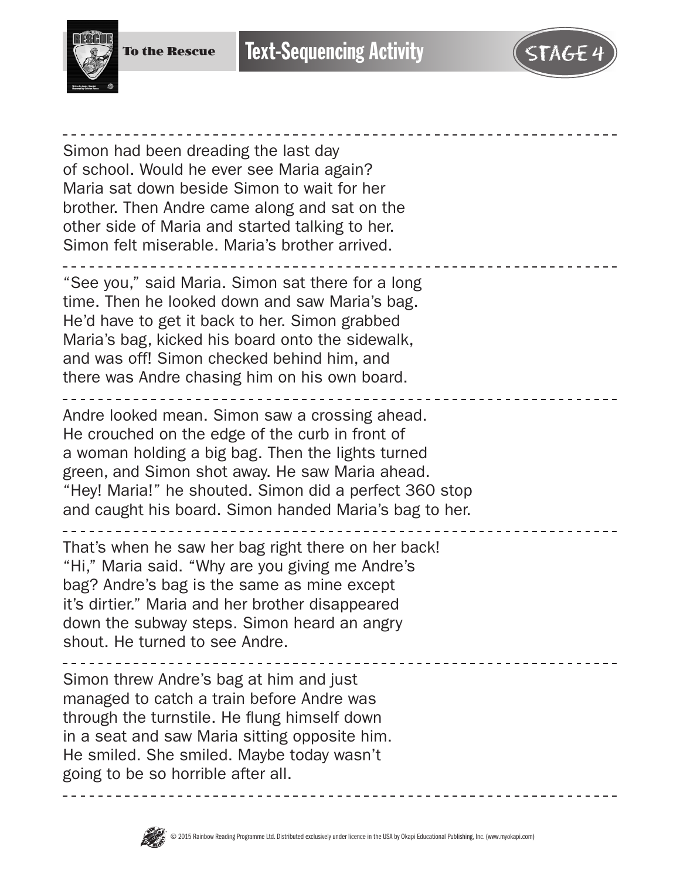

Simon had been dreading the last day of school. Would he ever see Maria again? Maria sat down beside Simon to wait for her brother. Then Andre came along and sat on the other side of Maria and started talking to her. Simon felt miserable. Maria's brother arrived.

"See you," said Maria. Simon sat there for a long time. Then he looked down and saw Maria's bag. He'd have to get it back to her. Simon grabbed Maria's bag, kicked his board onto the sidewalk, and was off! Simon checked behind him, and there was Andre chasing him on his own board.

Andre looked mean. Simon saw a crossing ahead. He crouched on the edge of the curb in front of a woman holding a big bag. Then the lights turned green, and Simon shot away. He saw Maria ahead. "Hey! Maria!" he shouted. Simon did a perfect 360 stop and caught his board. Simon handed Maria's bag to her.

That's when he saw her bag right there on her back! "Hi," Maria said. "Why are you giving me Andre's bag? Andre's bag is the same as mine except it's dirtier." Maria and her brother disappeared down the subway steps. Simon heard an angry shout. He turned to see Andre.

Simon threw Andre's bag at him and just managed to catch a train before Andre was through the turnstile. He flung himself down in a seat and saw Maria sitting opposite him. He smiled. She smiled. Maybe today wasn't going to be so horrible after all.

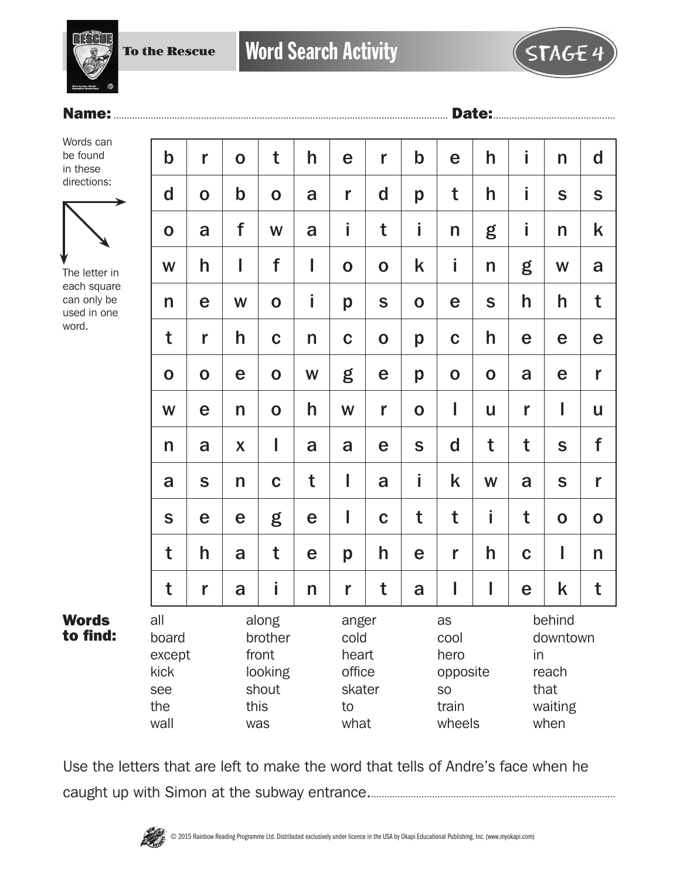To the Rescue



## Name:.............................................................................................................................. Date:..............................................

Words can be found in these directions:



The letter in each square can only be used in one word.

Words to find:

| $\mathbf b$                                          | r            | $\mathbf 0$               | t                                                            | h            | e           | r                                                  | $\mathbf b$ | e           | h                                                              | İ           | n                                                            | $\mathsf{d}$ |  |
|------------------------------------------------------|--------------|---------------------------|--------------------------------------------------------------|--------------|-------------|----------------------------------------------------|-------------|-------------|----------------------------------------------------------------|-------------|--------------------------------------------------------------|--------------|--|
| $\mathbf d$                                          | $\mathbf O$  | $\mathbf b$               | $\mathbf O$                                                  | a            | r           | d                                                  | p           | t           | h                                                              | i           | S                                                            | $\mathbf S$  |  |
| $\mathbf O$                                          | a            | f                         | W                                                            | a            | İ           | t                                                  | i           | n           | g                                                              | İ           | n                                                            | k            |  |
| W                                                    | h            | I                         | f                                                            | I            | $\mathbf 0$ | $\mathbf O$                                        | k           | İ           | n                                                              | g           | W                                                            | a            |  |
| n                                                    | e            | W                         | $\mathbf O$                                                  | i            | p           | ${\mathsf S}$                                      | $\mathbf 0$ | e           | S                                                              | h           | h                                                            | t            |  |
| t                                                    | r            | h                         | $\mathbf C$                                                  | $\mathsf{n}$ | $\mathbf C$ | $\mathbf 0$                                        | p           | $\mathbf C$ | h                                                              | e           | e                                                            | e            |  |
| $\mathbf O$                                          | $\mathbf O$  | e                         | $\mathbf O$                                                  | W            | g           | e                                                  | p           | $\mathbf 0$ | $\mathbf 0$                                                    | a           | e                                                            | r            |  |
| W                                                    | e            | $\mathsf{n}$              | $\mathbf 0$                                                  | h            | W           | r                                                  | $\mathbf 0$ | I           | U                                                              | r           | I                                                            | U            |  |
| n                                                    | a            | $\boldsymbol{\mathsf{X}}$ | I                                                            | a            | a           | e                                                  | S           | $\mathbf d$ | t                                                              | t           | $\mathbf S$                                                  | f            |  |
| a                                                    | $\mathsf{s}$ | n                         | $\mathbf C$                                                  | t            | I           | a                                                  | i           | k           | W                                                              | a           | S                                                            | r            |  |
| S                                                    | e            | e                         | g                                                            | e            | I           | $\mathbf C$                                        | t           | t           | İ                                                              | t           | $\mathbf 0$                                                  | $\mathbf O$  |  |
| t                                                    | h            | a                         | t                                                            | e            | p           | h                                                  | e           | r           | h                                                              | $\mathbf C$ | I                                                            | n            |  |
| t                                                    | r            | a                         | İ                                                            | n            | r           | t                                                  | a           | I           | I                                                              | e           | k                                                            | t            |  |
| all<br>board<br>except<br>kick<br>see<br>the<br>wall |              |                           | along<br>brother<br>front<br>looking<br>shout<br>this<br>was |              | to          | anger<br>cold<br>heart<br>office<br>skater<br>what |             |             | as<br>cool<br>hero<br>opposite<br><b>SO</b><br>train<br>wheels |             | behind<br>downtown<br>in<br>reach<br>that<br>waiting<br>when |              |  |

Use the letters that are left to make the word that tells of Andre's face when he caught up with Simon at the subway entrance.............................................................................................

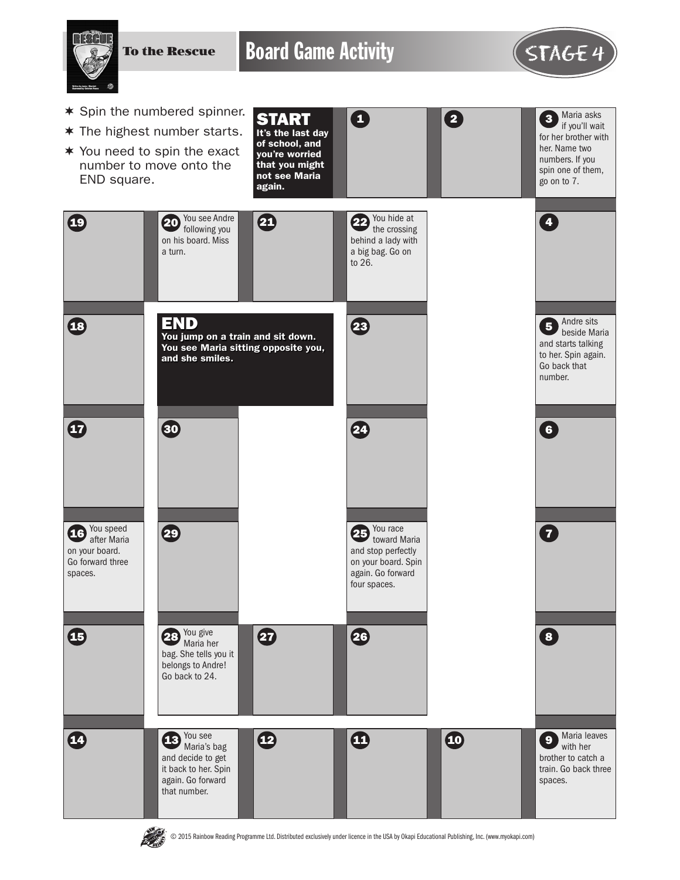To the Rescue

Board Game Activity **STAGE 4** 



- $*$  Spin the numbered spinner.
- $*$  The highest number starts.
- $*$  You need to spin the exact number to move onto the END square.





© 2015 Rainbow Reading Programme Ltd. Distributed exclusively under licence in the USA by Okapi Educational Publishing, Inc. (www.myokapi.com)